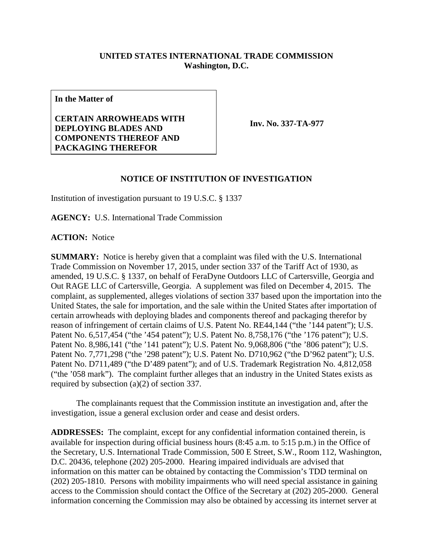## **UNITED STATES INTERNATIONAL TRADE COMMISSION Washington, D.C.**

**In the Matter of**

## **CERTAIN ARROWHEADS WITH DEPLOYING BLADES AND COMPONENTS THEREOF AND PACKAGING THEREFOR**

**Inv. No. 337-TA-977**

## **NOTICE OF INSTITUTION OF INVESTIGATION**

Institution of investigation pursuant to 19 U.S.C. § 1337

**AGENCY:** U.S. International Trade Commission

**ACTION:** Notice

**SUMMARY:** Notice is hereby given that a complaint was filed with the U.S. International Trade Commission on November 17, 2015, under section 337 of the Tariff Act of 1930, as amended, 19 U.S.C. § 1337, on behalf of FeraDyne Outdoors LLC of Cartersville, Georgia and Out RAGE LLC of Cartersville, Georgia. A supplement was filed on December 4, 2015. The complaint, as supplemented, alleges violations of section 337 based upon the importation into the United States, the sale for importation, and the sale within the United States after importation of certain arrowheads with deploying blades and components thereof and packaging therefor by reason of infringement of certain claims of U.S. Patent No. RE44,144 ("the '144 patent"); U.S. Patent No. 6,517,454 ("the '454 patent"); U.S. Patent No. 8,758,176 ("the '176 patent"); U.S. Patent No. 8,986,141 ("the '141 patent"); U.S. Patent No. 9,068,806 ("the '806 patent"); U.S. Patent No. 7,771,298 ("the '298 patent"); U.S. Patent No. D710,962 ("the D'962 patent"); U.S. Patent No. D711,489 ("the D'489 patent"); and of U.S. Trademark Registration No. 4,812,058 ("the '058 mark"). The complaint further alleges that an industry in the United States exists as required by subsection (a)(2) of section 337.

The complainants request that the Commission institute an investigation and, after the investigation, issue a general exclusion order and cease and desist orders.

**ADDRESSES:** The complaint, except for any confidential information contained therein, is available for inspection during official business hours (8:45 a.m. to 5:15 p.m.) in the Office of the Secretary, U.S. International Trade Commission, 500 E Street, S.W., Room 112, Washington, D.C. 20436, telephone (202) 205-2000. Hearing impaired individuals are advised that information on this matter can be obtained by contacting the Commission's TDD terminal on (202) 205-1810. Persons with mobility impairments who will need special assistance in gaining access to the Commission should contact the Office of the Secretary at (202) 205-2000. General information concerning the Commission may also be obtained by accessing its internet server at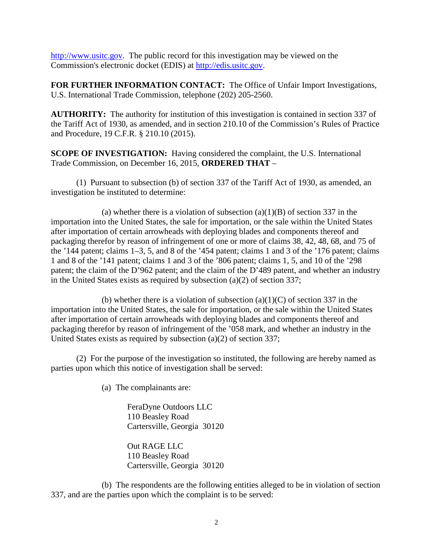[http://www.usitc.gov.](http://www.usitc.gov/) The public record for this investigation may be viewed on the Commission's electronic docket (EDIS) at [http://edis.usitc.gov.](http://edis.usitc.gov/)

**FOR FURTHER INFORMATION CONTACT:** The Office of Unfair Import Investigations, U.S. International Trade Commission, telephone (202) 205-2560.

**AUTHORITY:** The authority for institution of this investigation is contained in section 337 of the Tariff Act of 1930, as amended, and in section 210.10 of the Commission's Rules of Practice and Procedure, 19 C.F.R. § 210.10 (2015).

**SCOPE OF INVESTIGATION:** Having considered the complaint, the U.S. International Trade Commission, on December 16, 2015, **ORDERED THAT** –

(1) Pursuant to subsection (b) of section 337 of the Tariff Act of 1930, as amended, an investigation be instituted to determine:

(a) whether there is a violation of subsection  $(a)(1)(B)$  of section 337 in the importation into the United States, the sale for importation, or the sale within the United States after importation of certain arrowheads with deploying blades and components thereof and packaging therefor by reason of infringement of one or more of claims 38, 42, 48, 68, and 75 of the '144 patent; claims 1–3, 5, and 8 of the '454 patent; claims 1 and 3 of the '176 patent; claims 1 and 8 of the '141 patent; claims 1 and 3 of the '806 patent; claims 1, 5, and 10 of the '298 patent; the claim of the D'962 patent; and the claim of the D'489 patent, and whether an industry in the United States exists as required by subsection (a)(2) of section 337;

(b) whether there is a violation of subsection  $(a)(1)(C)$  of section 337 in the importation into the United States, the sale for importation, or the sale within the United States after importation of certain arrowheads with deploying blades and components thereof and packaging therefor by reason of infringement of the '058 mark, and whether an industry in the United States exists as required by subsection (a)(2) of section 337;

(2) For the purpose of the investigation so instituted, the following are hereby named as parties upon which this notice of investigation shall be served:

(a) The complainants are:

FeraDyne Outdoors LLC 110 Beasley Road Cartersville, Georgia 30120

Out RAGE LLC 110 Beasley Road Cartersville, Georgia 30120

(b) The respondents are the following entities alleged to be in violation of section 337, and are the parties upon which the complaint is to be served: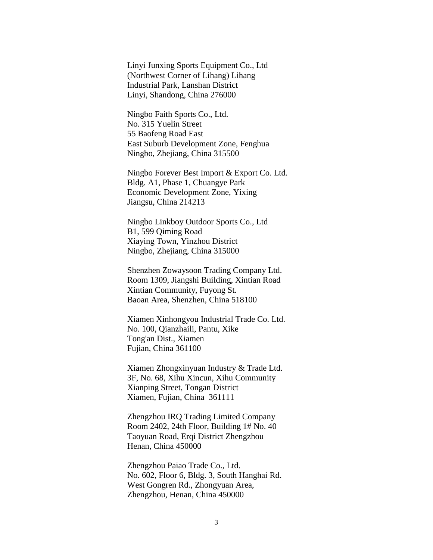Linyi Junxing Sports Equipment Co., Ltd (Northwest Corner of Lihang) Lihang Industrial Park, Lanshan District Linyi, Shandong, China 276000

Ningbo Faith Sports Co., Ltd. No. 315 Yuelin Street 55 Baofeng Road East East Suburb Development Zone, Fenghua Ningbo, Zhejiang, China 315500

Ningbo Forever Best Import & Export Co. Ltd. Bldg. A1, Phase 1, Chuangye Park Economic Development Zone, Yixing Jiangsu, China 214213

Ningbo Linkboy Outdoor Sports Co., Ltd B1, 599 Qiming Road Xiaying Town, Yinzhou District Ningbo, Zhejiang, China 315000

Shenzhen Zowaysoon Trading Company Ltd. Room 1309, Jiangshi Building, Xintian Road Xintian Community, Fuyong St. Baoan Area, Shenzhen, China 518100

Xiamen Xinhongyou Industrial Trade Co. Ltd. No. 100, Qianzhaili, Pantu, Xike Tong'an Dist., Xiamen Fujian, China 361100

Xiamen Zhongxinyuan Industry & Trade Ltd. 3F, No. 68, Xihu Xincun, Xihu Community Xianping Street, Tongan District Xiamen, Fujian, China 361111

Zhengzhou IRQ Trading Limited Company Room 2402, 24th Floor, Building 1# No. 40 Taoyuan Road, Erqi District Zhengzhou Henan, China 450000

Zhengzhou Paiao Trade Co., Ltd. No. 602, Floor 6, Bldg. 3, South Hanghai Rd. West Gongren Rd., Zhongyuan Area, Zhengzhou, Henan, China 450000